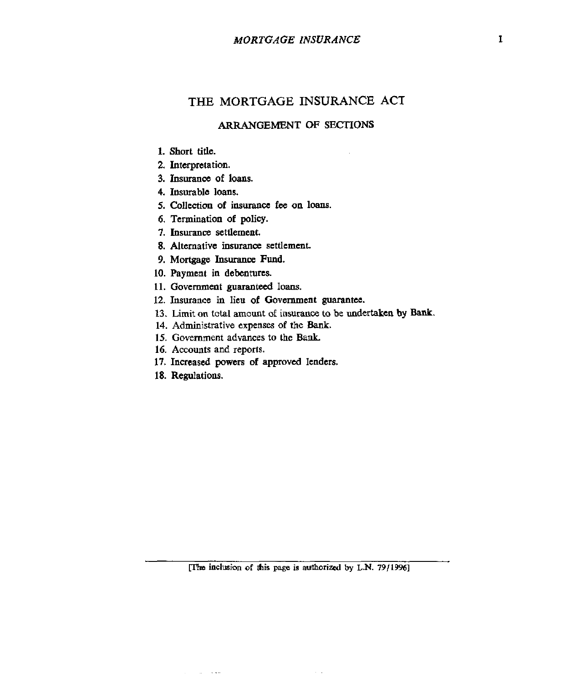## **THE MORTGAGE INSURANCE ACT**

## **ARRANGEMENT OF SECTIONS**

- **1. Short title.**
- **2. Interpretation.**
- **3. Insuranct of loans.**
- **4. Insurable loans.**
- **5. collection of insurance** *fee* **on loans.**
- **6. Termination of policy.**
- **7. Insurance settlement.**
- **8.** Alternative insurance settlement.
- **9. Mortgage** Insurance **Fund.**
- **10. Payment** in **debentures.**
- **11. Government guaranteed** loans.
- **12. Insurance** in **lieu of Government guarantee.**
- 13. Limit on total amount of insurance to be undertaken by Bank.
- **14. Administrative expenses of the BanL.**
- **15. Government advances** to **the Bank.**
- **16. Accounts and reports.**
- **17. Increased powers of approved lenders.**
- **18. Regulations.**

**Service State** 

rrtre **inclusia of this page is dorizcd by L.N.** *79119961* 

 $\sim$   $-1$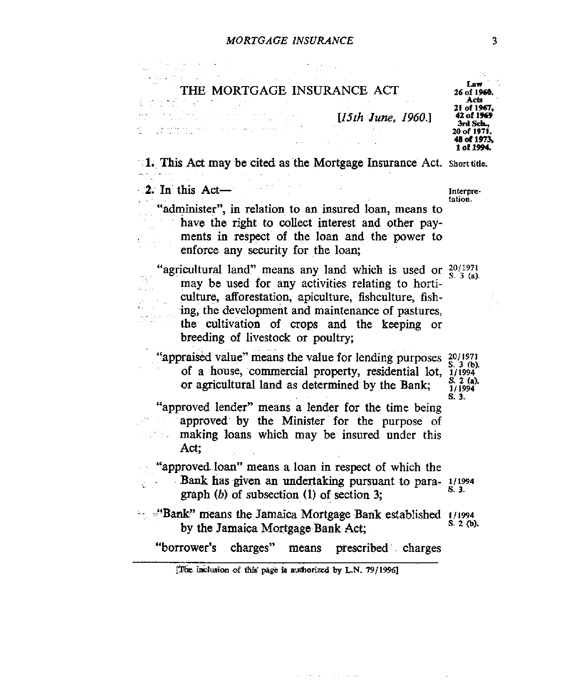| THE MORTGAGE INSURANCE ACT                                                                                                                                                                                                                                                                                            | 26 of 1960.<br>A ets                                                             |
|-----------------------------------------------------------------------------------------------------------------------------------------------------------------------------------------------------------------------------------------------------------------------------------------------------------------------|----------------------------------------------------------------------------------|
| $[15th\, June, 1960.]$                                                                                                                                                                                                                                                                                                | 21 of 1967.<br>42 of 1969<br>3rd Sch<br>20 of 1971.<br>48 of 1973,<br>1 of 1994. |
| 1. This Act may be cited as the Mortgage Insurance Act. Short title.                                                                                                                                                                                                                                                  |                                                                                  |
| 2. In this Act-<br>'administer", in relation to an insured loan, means to<br>have the right to collect interest and other pay-<br>ments in respect of the loan and the power to<br>enforce any security for the loan;                                                                                                 | Interpre-<br>tation.                                                             |
| "agricultural land" means any land which is used or $20/1971$<br>may be used for any activities relating to horti-<br>culture, afforestation, apiculture, fishculture, fish-<br>ing, the development and maintenance of pastures,<br>the cultivation of crops and the keeping or<br>breeding of livestock or poultry; | S. 3 (a).                                                                        |
| 'appraised value'' means the value for lending purposes<br>of a house, commercial property, residential lot,<br>or agricultural land as determined by the Bank;                                                                                                                                                       | 20/1971<br>$S = 3$ (b).<br>1/1994<br>$S_2(a)$ .<br>1/1994                        |
| "approved lender" means a lender for the time being<br>approved by the Minister for the purpose of<br>making loans which may be insured under this<br>Act;                                                                                                                                                            | S. 3.                                                                            |
| "approved loan" means a loan in respect of which the<br>Bank has given an undertaking pursuant to para-1/1994<br>graph $(b)$ of subsection $(1)$ of section 3;                                                                                                                                                        | S. 3.                                                                            |
| " <sup>6</sup> "Bank" means the Jamaica Mortgage Bank established 1/1994<br>by the Jamaica Mortgage Bank Act;                                                                                                                                                                                                         | S 2 7b).                                                                         |
| "borrower's charges"<br>means prescribed charges                                                                                                                                                                                                                                                                      |                                                                                  |
| [The inclusion of this page is authorized by L.N. 79/1996]                                                                                                                                                                                                                                                            |                                                                                  |

 $\mathcal{A}(\mathcal{A})$  . The set of  $\mathcal{A}(\mathcal{A})$  is a set of the set

 $\sim$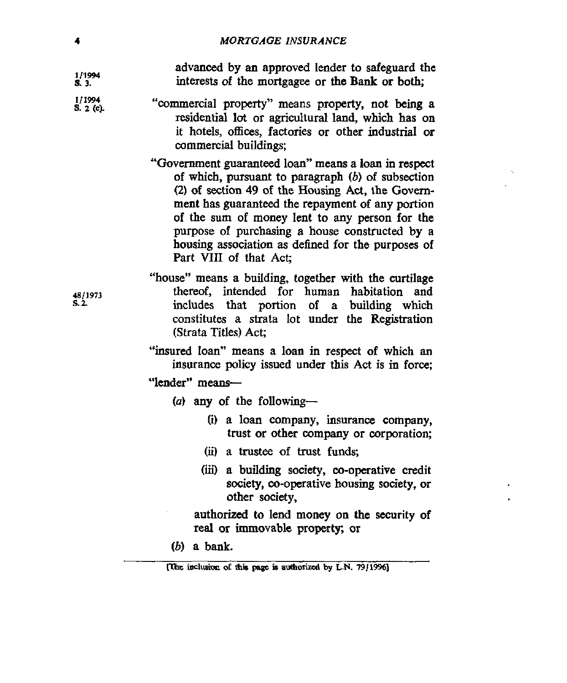advanced by an approved lender to safeguard the **1/1w**  interests of the mortgagee or the **Bank** or **both; a 3.**  1/1994 "commercial property" means property, not **being a S.** 2 (c). residential lot or agricultural land, which has **on**  it hotels, **offices,** factories or other industrial or commercial buildings; "Government guaranteed loan" means a **loan** in respect of which, pursuant to paragraph *(b)* of subsection **(2)** of section **49** of the Housing Act, the Govemment has guaranteed the repayment of any portion of the sum of money lent to any person for the purpose of purchasing **a** house constructed by a housing association **as** defined for the purposes of Part VIII of that Act; "house" means a building, together with the curtilage thereof, intended for human habitation and *4811913*  includes that portion of a building which constitutes a strata lot **under** the Registration (Strata Titles) Act; 'insured loan" means a loan in respect of which an insurance policy issued **under** this Act is in force; "lender" means- (a) **any** of the following- *(i)* a loan company, insurance company, trust or other company or corporation; *(ii)* a trustee of **trust** funds; *(hi* a **building** society, co-operative credit society, co-operative **housing society,** or other society, authorized **to** lend money **on** *the* **security** of real or immovable property; or *(b)* a bank. **[The inclusion of this page is authorized by L.N. 79/1996]** 

**s. 2.**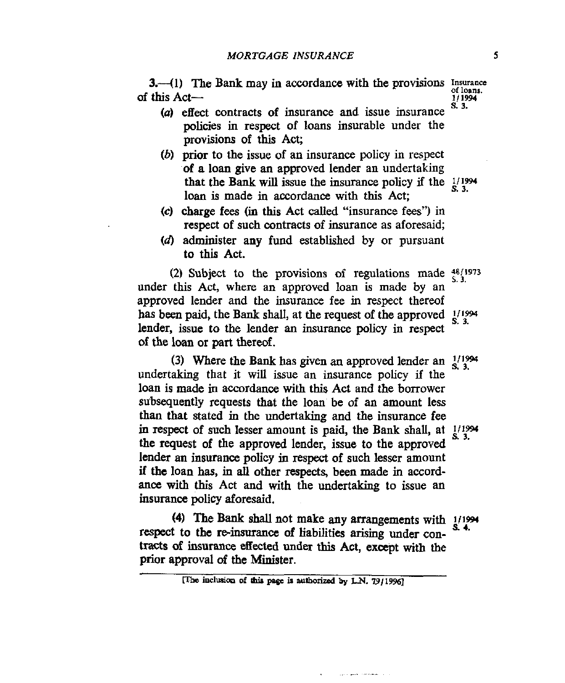3. (1) The Bank may in accordance with the provisions *Insurance* this Act—<br>this Act—<br><sup>1/1994</sup> **s. 3.**  of this Act-

- (a) effect contracts of insurance and issue insurance policies in respect of loans insurable under the provisions of this Act;
- *(b)* prior to the issue of an insurance policy in respect **of** a loan give an approved lender an undertaking that the Bank **will** issue the insurance policy if the *2\94*  loan is made in accordance with this Act;
- **(c)** charge **fees** (in **this** Act called "insurance fees") in respect of such contracts of insurance as aforesaid;
- **(4** administer any fund established by or pursuant to this Act.

**(2)** Subject to the provisions **of** regulations made **:851973**  under this Act, where an approved loan is made by an approved lender and the insurance fee **in** respect thereof has been paid, the Bank shall, at the request of the approved  $\frac{1}{1994}$ lender, issue to the lender **an** insurance policy in respect of the loan or part thereof. **s. 3.** 

undertaking that it will issue an insurance policy if the loan is made in accordance **with** this Act and the borrower subsequently requests that the loan be of an **amount** less than that stated in the undertaking and the insurance fee in respect of such lesser amount is paid, the Bank shall, at  $1/1994$ the request of the approved lender, issue to the approved lender **aa** insurance policy in **respect** of such lesser amount if the loan **has,** in all other **respects,** been made in accordance with this Act and with the undertaking to issue an **insurance** policy aforesaid. (3) Where the Bank has given an approved lender an  $\frac{1}{8}$ ,  $\frac{3}{3}$ 

respect to the **re-insurance** *of* liabilities arising under contracts of insurance effected under this Act, except with the prior approval *of* the Minister. **(4) The Bank shall** not make any arrangements with **I/I%**   $\frac{1}{2}$ .

للمستعملة الخليفي بالتي

<sup>[</sup>The inclusion of this page is authorized by L.N. **79/1996]**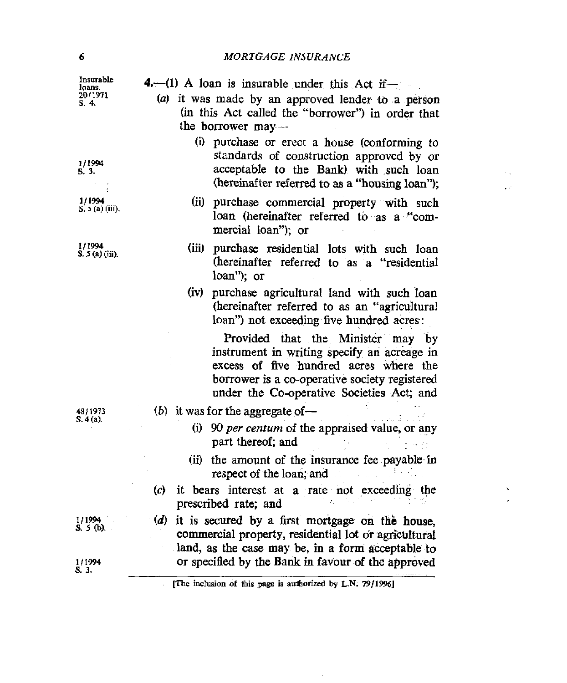$\sim$   $\sim$  $\epsilon$   $\sigma$ 

> $\bar{\mathbf{v}}$  $\epsilon$

| (a) it was made by an approved lender to a person<br>S. 4.<br>(in this Act called the "borrower") in order that<br>the borrower may---<br>(i) purchase or erect a house (conforming to<br>standards of construction approved by or<br>1/1994<br>acceptable to the Bank) with such loan<br>S. 3.<br>(hereinafter referred to as a "housing loan");<br>1/1994<br>(ii) purchase commercial property with such<br>S. $5$ (a) (iii).<br>loan (hereinafter referred to as a "com-<br>mercial loan"); or<br>1/1994<br>(iii)<br>purchase residential lots with such loan<br>$S. 5(a)$ (iii).<br>(hereinafter referred to as a "residential<br>loan"); or<br>purchase agricultural land with such loan<br>(iv)<br>(hereinafter referred to as an "agricultural<br>loan") not exceeding five hundred acres:<br>Provided that the Minister may by<br>instrument in writing specify an acreage in<br>excess of five hundred acres where the<br>borrower is a co-operative society registered<br>under the Co-operative Societies Act; and<br>(b) it was for the aggregate of —<br>48/1973<br>$S$ 4(a).<br>(i) 90 per centum of the appraised value, or any<br>part thereof; and<br>(ii) the amount of the insurance fee payable in<br>respect of the loan, and<br>(c)<br>it bears interest at a rate not exceeding the<br>prescribed rate; and<br>1/1994<br>(d) it is secured by a first mortgage on the house,<br>S. 5 (b).<br>commercial property, residential lot or agricultural<br>land, as the case may be, in a form acceptable to<br>or specified by the Bank in favour of the approved<br>1/1994 | Insurable<br>loans. | 4. $-$ (1) A loan is insurable under this Act if $-$       |  |  |
|-----------------------------------------------------------------------------------------------------------------------------------------------------------------------------------------------------------------------------------------------------------------------------------------------------------------------------------------------------------------------------------------------------------------------------------------------------------------------------------------------------------------------------------------------------------------------------------------------------------------------------------------------------------------------------------------------------------------------------------------------------------------------------------------------------------------------------------------------------------------------------------------------------------------------------------------------------------------------------------------------------------------------------------------------------------------------------------------------------------------------------------------------------------------------------------------------------------------------------------------------------------------------------------------------------------------------------------------------------------------------------------------------------------------------------------------------------------------------------------------------------------------------------------------------------------------------------------------------|---------------------|------------------------------------------------------------|--|--|
|                                                                                                                                                                                                                                                                                                                                                                                                                                                                                                                                                                                                                                                                                                                                                                                                                                                                                                                                                                                                                                                                                                                                                                                                                                                                                                                                                                                                                                                                                                                                                                                               | 20/1971             |                                                            |  |  |
|                                                                                                                                                                                                                                                                                                                                                                                                                                                                                                                                                                                                                                                                                                                                                                                                                                                                                                                                                                                                                                                                                                                                                                                                                                                                                                                                                                                                                                                                                                                                                                                               |                     |                                                            |  |  |
|                                                                                                                                                                                                                                                                                                                                                                                                                                                                                                                                                                                                                                                                                                                                                                                                                                                                                                                                                                                                                                                                                                                                                                                                                                                                                                                                                                                                                                                                                                                                                                                               |                     |                                                            |  |  |
|                                                                                                                                                                                                                                                                                                                                                                                                                                                                                                                                                                                                                                                                                                                                                                                                                                                                                                                                                                                                                                                                                                                                                                                                                                                                                                                                                                                                                                                                                                                                                                                               |                     |                                                            |  |  |
|                                                                                                                                                                                                                                                                                                                                                                                                                                                                                                                                                                                                                                                                                                                                                                                                                                                                                                                                                                                                                                                                                                                                                                                                                                                                                                                                                                                                                                                                                                                                                                                               |                     |                                                            |  |  |
|                                                                                                                                                                                                                                                                                                                                                                                                                                                                                                                                                                                                                                                                                                                                                                                                                                                                                                                                                                                                                                                                                                                                                                                                                                                                                                                                                                                                                                                                                                                                                                                               |                     |                                                            |  |  |
|                                                                                                                                                                                                                                                                                                                                                                                                                                                                                                                                                                                                                                                                                                                                                                                                                                                                                                                                                                                                                                                                                                                                                                                                                                                                                                                                                                                                                                                                                                                                                                                               |                     |                                                            |  |  |
|                                                                                                                                                                                                                                                                                                                                                                                                                                                                                                                                                                                                                                                                                                                                                                                                                                                                                                                                                                                                                                                                                                                                                                                                                                                                                                                                                                                                                                                                                                                                                                                               |                     |                                                            |  |  |
|                                                                                                                                                                                                                                                                                                                                                                                                                                                                                                                                                                                                                                                                                                                                                                                                                                                                                                                                                                                                                                                                                                                                                                                                                                                                                                                                                                                                                                                                                                                                                                                               |                     |                                                            |  |  |
|                                                                                                                                                                                                                                                                                                                                                                                                                                                                                                                                                                                                                                                                                                                                                                                                                                                                                                                                                                                                                                                                                                                                                                                                                                                                                                                                                                                                                                                                                                                                                                                               |                     |                                                            |  |  |
|                                                                                                                                                                                                                                                                                                                                                                                                                                                                                                                                                                                                                                                                                                                                                                                                                                                                                                                                                                                                                                                                                                                                                                                                                                                                                                                                                                                                                                                                                                                                                                                               |                     |                                                            |  |  |
|                                                                                                                                                                                                                                                                                                                                                                                                                                                                                                                                                                                                                                                                                                                                                                                                                                                                                                                                                                                                                                                                                                                                                                                                                                                                                                                                                                                                                                                                                                                                                                                               | S. 3.               | [The inclusion of this page is authorized by L.N. 79/1996] |  |  |

 $\mathcal{A}=\{x_1,\ldots,x_n\}$  , where  $\mathcal{A}$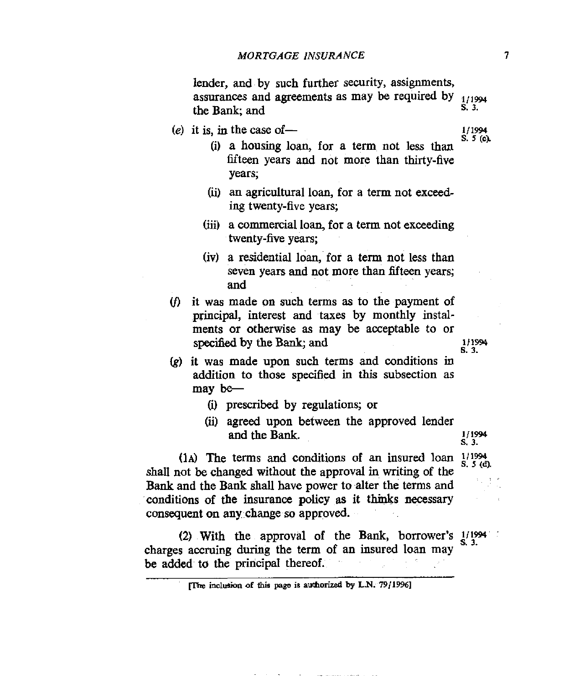lender, and by such further security, assignments, assurances and agreements as may be required by  $\frac{1}{11994}$  s. 3. the Bank; and

 $(e)$  it is, in the case of —

**111994 S.** *5* **(cl** 

**Ill990 6. 3.** 

**s** 3.

- (i) a housing loan, for a term not less **than**  fifteen years and not more than thirty-five years;
- **(ii)** an agricultural loan, for a term not exceeding twenty-five years;
- (iii) a commercial loan, for a term not exceeding twenty-five **years;**
- (iv) a residential loan, for a term not less than seven years and not more than fifteen years; and
- (fl it was made on such terms **as** to the payment of principal, interest and taxes by monthly instalments or otherwise **as** may be acceptable to or **specified** by the **Bank;** and
- (g) it was made upon such terms and conditions in **addition** to those specified in *this* subsection as may be-
	- (i) prescribed by regulations; or
	- (ii) agreed upon between the approved lender and the Bank. **1/1994**

(1A) The terms and conditions of an insured loan  $\frac{1}{1994}$  **k**, s<sub>(d)</sub> shall not be changed without the approval **in** writing of the **Bank** and the **Bank** shall have power to alter the terms and conditions of the insurance policy as it thinks **necessary**  consequent on any change *so* approved.

charges accruing during the term of **an** insured loan may be added to the principal thereof. (2) With the approval of the Bank, borrower's  $1/1994$ 

<sup>[</sup>The inclusion of this page is authorized by L.N.  $79/1996$ ]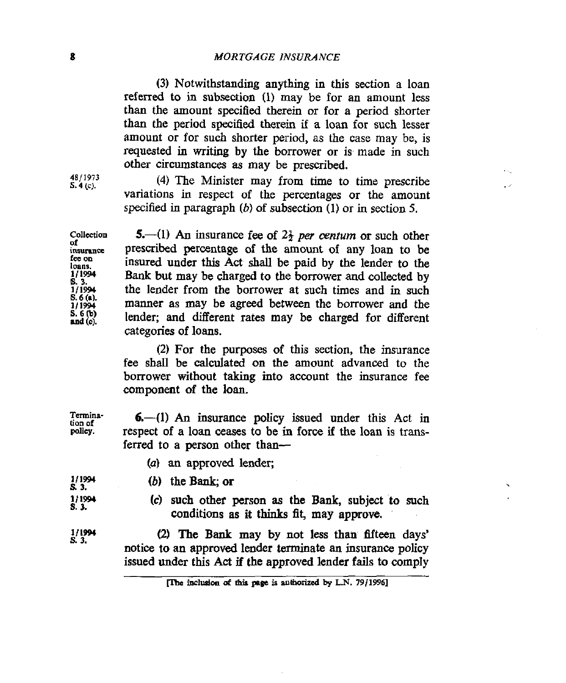**(3)** Notwithstanding anything in this section a loan referred to in subsection (1) may be for an amount **less**  than the amount specified therein or **for** a period shorter than the period **specified** therein **if** a loan for such lesser amount or for such shorter period, as the case may be, is requested in writing by the borrower or is made in such *other* circumstances **as** may be prescribed.

**(4)** The Minister may **from** time to time prescribe variations in respect **of** the percentages or the amount specified in paragraph *(6)* **of** subsection (1) or in **section 5.** 

**5.**—(1) An insurance fee of  $2\frac{1}{2}$  *per centum* or such other **coucction of**  prescribed percentage of the **amount of** any loan to be fee on insured under this Act shall be paid by the lender to the loans.  $\frac{1}{1}$ <br>S. 3.<br> $\frac{1}{1}$  1994 Bank but may be charged to the borrower and collected by the lender from the borrower at such times and in such  $S. 6(a)$ manner as may be agreed between the borrower and the 1/1994  $S. 6(b)$ lender; and different rates may **be** charged **for** different and (c). categories of loans.

> *(2)* **For** the purposes of this section, the insurance fee shall be calculated on the amount advanced to the borrower **without taking** into account the insurance fee component **of** the loan.

| rmina-<br>n of | $6 - (1)$ An insurance policy issued under this Act in        |
|----------------|---------------------------------------------------------------|
| licy.          | respect of a loan ceases to be in force if the loan is trans- |
|                | ferred to a person other than-                                |

(*a*) an approved lender;

*(b)* the **Baak; or** 

| S. 3. | 1/1994          |  |  |
|-------|-----------------|--|--|
|       | 1/1994<br>S. 3. |  |  |

**(c)** such other person **as** the **Bank,** subject *to* such conditions as **it** thinks fit, may approve.

**(2) The Bank** may by not less than fltfifteen days' notice to **an** approved lender terminate **an** insurance policy issued under **this Act** if **the** approved lender **fails** to comply

**4811973 s. 4** *(C).* 

Termina-<br>tion of **p** 

**111991 s. 3.** 

**<sup>[</sup>The inclusion of this page is authorized by L.N. 79/1996]**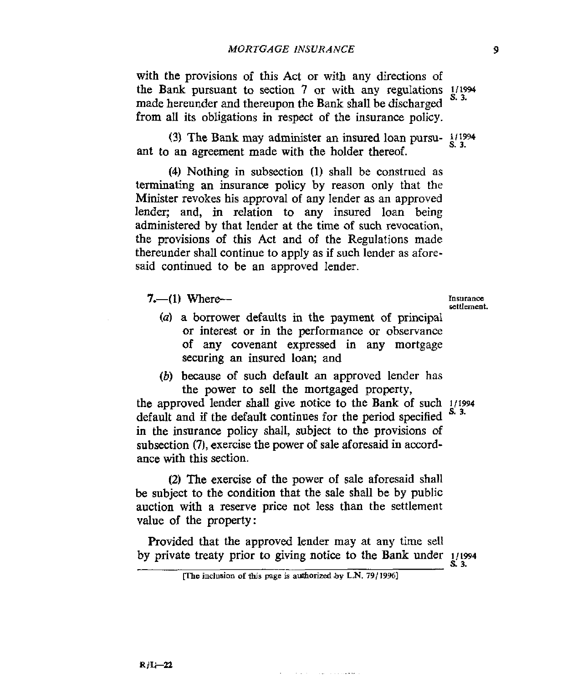with the provisions **of this** Act or with any directions of the Bank pursuant to section **7** or with any regulations *1115%*  **s. 3.**  made hereunder and thereupon the Bank shall be discharged from all its obligations in respect of the insurance policy.

(3) The **Bank** may administer **an** insured loan pursuant to an agreement made with the holder thereof.

**(4)** Nothing in subsection (1) shall be construed as terminating an insurance policy by reason only that the Minister revokes his approval of any lender as an approved lender; and, in relation to any insured loan being administered by that lender at the time of such revocation, the provisions of this Act and of the Regulations made thereunder shall continue to apply as if such lender as **afore**said continued to be an approved lender.

**7.**—(1) **Where--**

- *(a)* a borrower defaults in the payment of principal or interest or in the performance or observance of any covenant expressed in any mortgage securing **an** insured loan; and
- *(b)* because of such default an approved lender **has**  the **power** to sell the mortgaged property,

the approved lender shall give notice to the Bank of such **i/1994**  (b) because of such default an approved lender has<br>the power to sell the mortgaged property,<br>the approved lender shall give notice to the Bank of such  $\frac{1}{1994}$ <br>default and if the default continues for the period speci in the insurance policy shall, subject to the provisions of subsection (7), exercise the power of sale aforesaid in accordance with this section.

**(2)** The exercise of the power of sale aforesaid shall be subject to the condition that the sale shall be by public auction with a reserve price not less than the settlement value **of** the property:

Provided that the approved lender may at any time sell by private treaty prior to giving notice to the Bank under **<sup>111994</sup>**

فحفوه والأناوي والمتواد المتابع الماري

*s* **3.** 

**Insurance** 

**inclusion of this page is authorized by <b>L.N.** 79/19961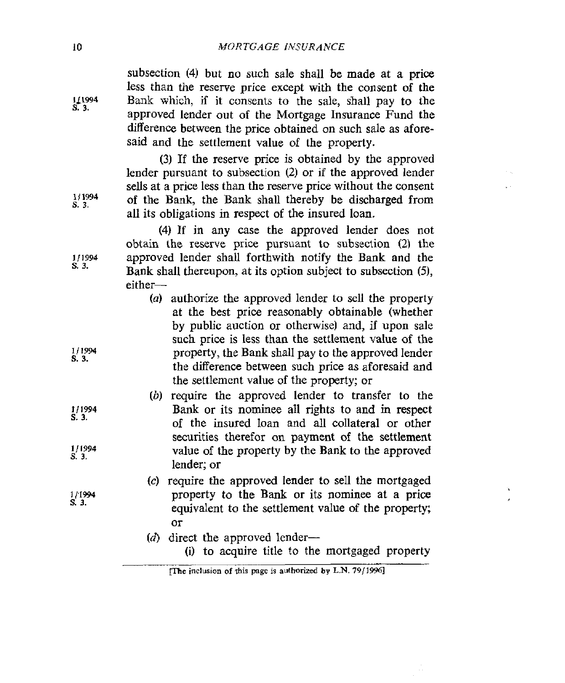subsection (4) but no such sale shall be made at a price less than the reserve price except with the consent of the Bank which, if it consents to the sale, shall pay to the approved lender out of the Mortgage Insurance Fund the difference between the price obtained on such sale as aforesaid and the settlement value of the property.

(3) If the reserve price is obtained by the approved lender pursuant to subsection *(2)* or **if** the approved lender sells at a price less than the reserve price without the consent of the Bank, the **Bank** shall thereby be discharged from all its obligations in respect of the insured loan.

**(4)** If in any case the approved lender does not obtain the reserve price pursuant to subsection *(2)* the approved lender shall forthwith notify the Bank and the **Bank** shall thereupon, at its option subject to subsection *(5),*  either-

- *(a)* authorize the approved lender to **sell** the property at the best price reasonably obtainable (whether by public auction or otherwise) and, if upon sale such price is less than the settlement value of the property, the Bank shall pay to the approved lender the difference between such price as aforesaid and the settlement value of the property; or
- *(b)* require the approved lender to transfer to the Bank or its nominee all rights to and in respect of the insured loan and all collateral or other securities therefor **on** payment of the settlement value of the property by the Bank to the approved lender; or
- **(c)** require the approved lender to sell the mortgaged property *to* the **Bank** or its nominee at a price equivalent to the settlement value of the property; or
- $(d)$  direct the approved lender-
	- *(i)* to acquire title to the mortgaged property

 $\mathbf{r}$ 

**1L1994 S. 3.** 

**111994**  s. **3.** 

**111994 s. 3.** 

- 
- **111994 s. 3.**
- 
- **tl1994 s. 3.**
- **111994 s. 3.**

11'1994

**s. 3.** 

**fThe inclusion of this page is authorized by L.N. 79/1996]**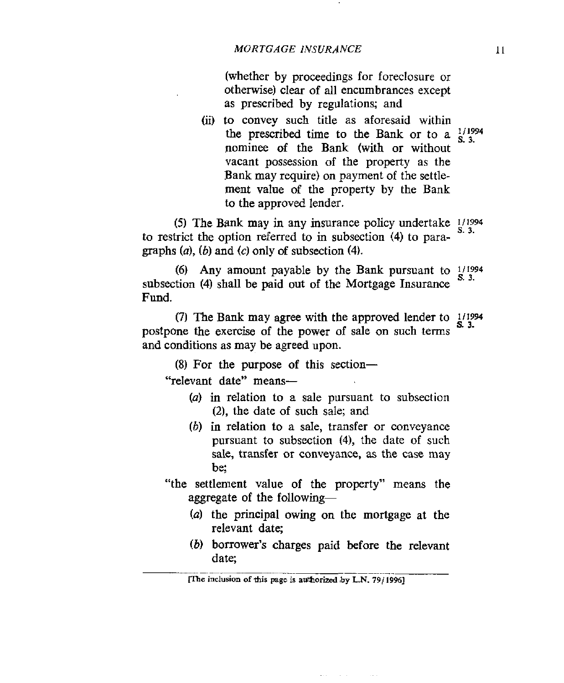(whether by proceedings for foreclosure or otherwise) clear of all encumbrances except as prescribed by regulations; and

**(ii)** to convey such title **as** aforesaid within the prescribed time to the Bank or to a  $\frac{1}{3}$ nominee of the Bank (with or without vacant possession of the property as the Bank may **require)** on payment of the settlement value of the property by the Bank to the approved lender.

*(5)* The **Bank** may in any insurance policy undertake **I11994 s. 3.** to restrict the option referred to in subsection **(4)** to paragraphs  $(a)$ ,  $(b)$  and  $(c)$  only of subsection  $(4)$ .

subsection (4) shall be paid out of the Mortgage Insurance **Fund. (6)** Any amount payable by the Bank pursuant to  $1/1994$ 

postpone the exercise of the power of sale on such terms and conditions as may be agreed upon. (7) The Bank may agree with the approved lender to 1/1994

(8) For the purpose of this section- "relevant date" means-

- (a) in relation to a sale pursuant to subsection (2), the date of such sale; and
- *(b)* in relation to a sale, transfer or conveyance pursuant to subsection (4), the date of such sale, transfer or conveyance, **as** the case may be:
- "the settlement value of the property" means the aggregate of the following- $-$ 
	- *(U)* the principal owing on the mortgage at the relevant date;
	- *(6)* borrower's charges paid before the relevant date;<br>The inclusion of this page is authorized by L.N. 79/1996]

 $\sim 100$  km s  $^{-1}$ 

 $\sim$  100  $\pm$ 

 $\sim 10^{-1}$ 

11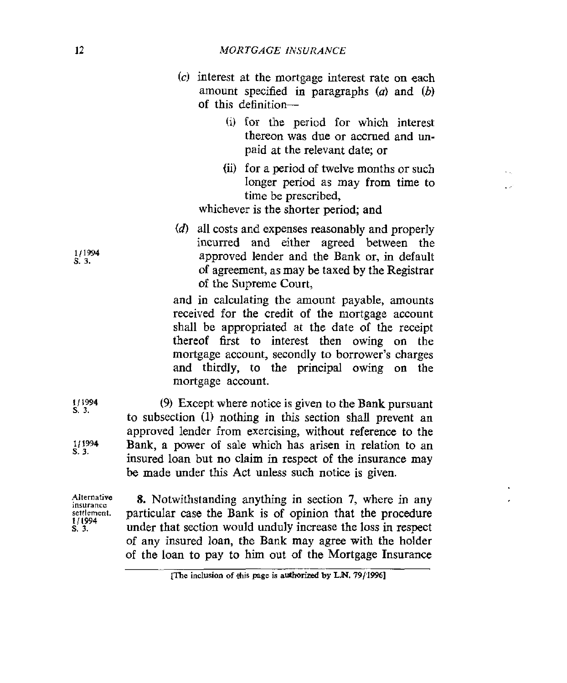- **(c)** interest at the mortgage interest rate on each amount specified in paragraphs *(a)* and *(b)*  of this definition-
	- (i) for the period **for** which interest thereon was due or accrued and unpaid at the relevant date; or
	- **(ii)** for a period of twelve months or such longer period as may from time to time be prescribed,

 $\ddot{\phantom{a}}$ المراد

whichever is the shorter period; and

*(6)* all costs and expenses reasonably and properly incurred and either agreed between the approved lender and the Bank or, in default of agreement, as may be taxed by the Registrar of the Supreme Court,

and in calculating the amount payable, amounts received for the credit of the mortgage account shall be appropriated at the date of the receipt thereof 6rst to interest then owing on the mortgage account, secondly to borrower's charges and thirdly, to the principal owing on the mortgage account.

**<sup>111994</sup>**(9) Except where notice is given to the Bank pursuant to subsection (1) nothing in this section shall prevent an approved lender from exercising, without reference to the Bank, a power of sale which has arisen in relation to an insured loan but no claim in respect of the insurance may be made under this Act unless such notice is given.

**Alternative**  *setrlement.*  **s. 3. murancc 1 1194** 

s. **3.** 

**111994**  s. **3.** 

> **8.** Notwithstanding anything in section **7,** where in any particular case the Bank is of opinion that the procedure under that section would unduly increase the loss in respect of any insured loan, tbe Bank may agree with the holder of the loan to pay to him out of the Mortgage Insurance

**1/1994**  s. **3.** 

**me inclusion of** *this* **page is authorized by LN. 79/1996]**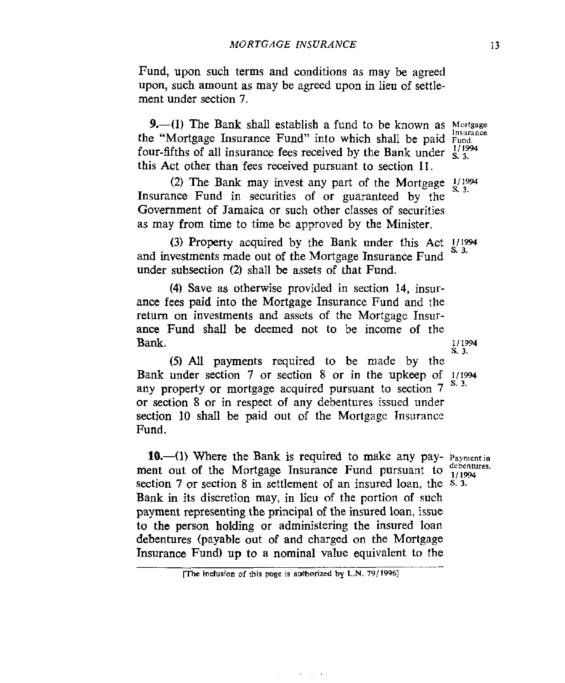Fund, upon such terms and conditions as may be agreed upon, such amount as may be agreed upon in lieu of settlement under section 7.

**9.**-(1) The Bank shall establish a fund to be known as Mortgage the "Mortgage Insurance Fund" into which shall be paid Fund. four-fifths of all insurance fees received by the Bank under  $\frac{1}{5}$ ,  $\frac{1}{3}$ . this Act other than fees received pursuant to section 11.

Insurance Fund in securities of or guaranteed by the Government of Jamaica or such other classes of securities as may from time to time be approved by the Minister. (2) The Bank may invest any part of the Mortgage  $\frac{1}{2}$ 

and investments made out of the Mortgage Insurance Fund under subsection (2) shall be assets of that Fund. (3) Property acquired by the Bank under this Act  $\frac{1}{12}$ .

**(4)** Save as otherwise provided in section **14,** insurance fees paid into the Mortgage Insurance Fund and the return on investments and assets of the Mortgage Insurance Fund shall be deemed not to be income of the **Bank.** 

**(5)** *All* payments required to be made by the Bank under section 7 or section 8 or in the upkeep of 1/1994 any property or mortgage acquired pursuant to section 7 or section 8 or in respect of any debentures issued under section 10 shall be paid out of the Mortgage Insurance Fund. 111994 *s.* **3.** 

**10.**—(1) Where the Bank is required to make any pay- Payment in ment out of the Mortgage Insurance Fund pursuant to debentures. section **7** or section 8 in settlement of an insured loan. the **s. 3.**  Bank in its discretion may, in lieu of the portion of such payment representing the principal of the insured loan, issue to the person holding or administering the insured loan debentures (payable out of and charged on the Mortgage Insurance Fund) **up** to a nominal value equivalent to the

والمتاعين والتواري

**i**(The inclusion of this page is authorized by L.N. 79/1996)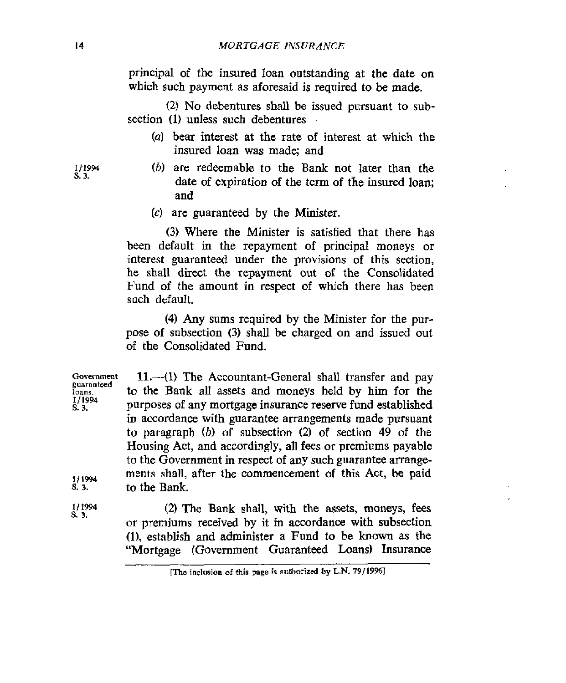principal of the insured loan outstanding at the date on which such payment as aforesaid **is** required to be made.

(2) No debentures shall be issued pursuant to subsection (1) unless such debentures-

- *(U)* bear interest at the rate of interest at which the insured loan **was** made; and
- *(b)* are redeemable to the Bank not later than the date of expiration of the term of the **insured** loan; and
- *(c)* are guaranteed by the Minister.

**(3)** Where the Minister is satisfied that there has been default in the repayment of principal moneys or interest guaranteed under the provisions of this section, he shall direct the repayment out of the Consolidated Fund of the amount in respect of **which** there has been such default.

**(4)** Any sums required by the Minister for the purpose of subsection **(3)** shall be charged on and issued out of the Consolidated Fund.

Government **loans. s. 3. 11.**—(1) The Accountant-General shall transfer and pay to the Bank all assets and moneys held by him for the purposes of any mortgage insurance reserve fund established in accordance with guarantee arrangements made pursuant to paragraph *(b)* of subsection (2) of section **49** of the Housing Act, and accordingly, all **fees** or premiums payable to the Government in respect of any such guarantee arrangements shall. after the commencement **of** this Act, be paid **guaranteed 1/1994**  *s.* **3.** to the Bank.

> **(2)** The Bank shall, with the assets, moneys, fees or premiums received by it in accordance with subsection **(l),** establish and administer a Fund to be known as the "Mortgage (Government Guaranteed **Loans)** Insurance

**1/1994 s. 3.** 

*111994*  **s. 3.** 

**me inclusion of this page** *is* **authorized** *by* **L.N. 79119W**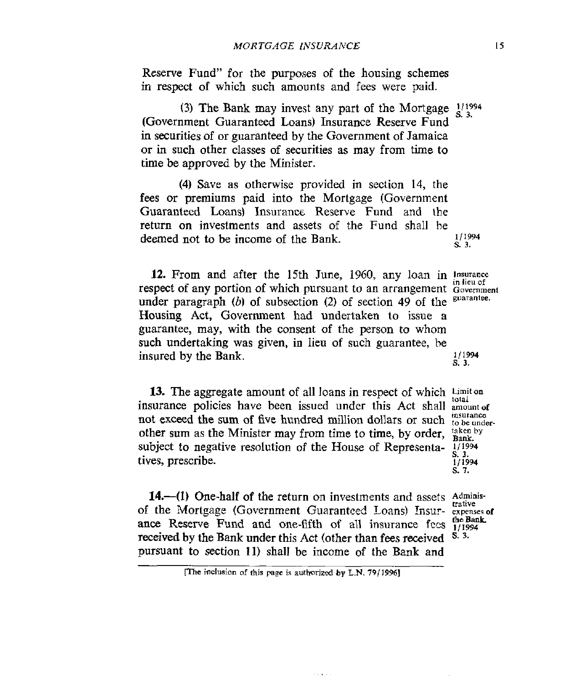Reserve Fund" for the purposes of the housing schemes in respect of which such amounts and fees were paid.

(Government Guaranteed Loans) Insurance Reserve Fund in securities of or guaranteed by the Government of Jamaica or in such other classes of securities as may from time to time be approved by the Minister. (3) The Bank may invest any part of the Mortgage  $\frac{1}{4}$  <sup>1994</sup>

**(4)** Save as otherwise provided in section 14, the fees or premiums paid into the Mortgage (Government Guaranteed Loans) Insurance Reserve Fund and the return on investments and assets of the Fund shall he deemed not to be income of the Bank. 1/1994 *s.* 3.

**12.** From and after the 15th June, 1960, any loan in *Insurance in lieu of* **the respect of any portion of which pursuant to an arrangement Government** under paragraph (b) of subsection (2) of section 49 of the <sup>guarantee.</sup> Housing Act, Government had undertaken to issue a guarantee, may, with the consent of the person to whom such undertaking was given, in lieu of such guarantee, be insured by the Bank.  $\frac{1}{1994}$ **s. 3.** 

**13.** The aggregate amount of all loans in respect of which **Limiton insurance policies have been issued under this Act shall amount of** not exceed the sum of five hundred million dollars or such *to be under* other sum as the Minister may from time to time, by order, subject to negative resolution of the House of Representa-  $\frac{1}{2}$ /1994 tives, prescribe.

*s.* **3.**  *s.* **7.** 

**14.**—(1) One-half of the return on investments and assets Administrative of the Mortgage (Government Guaranteed Loans) Insur- **expenses of**  ance Reserve Fund and one-fifth of all insurance fees  $\frac{\text{the Ban}}{1/1994}$ <br>received by the Bank under this Act (other than fees received  $\frac{8}{3}$ . received by the Bank under this Act (other than fees received pursuant to section **11)** shall be income of the Bank and **the Bank** 

**I5** 

**P3e inclueion** of **this page is authorized by L.N.** *791* **19961**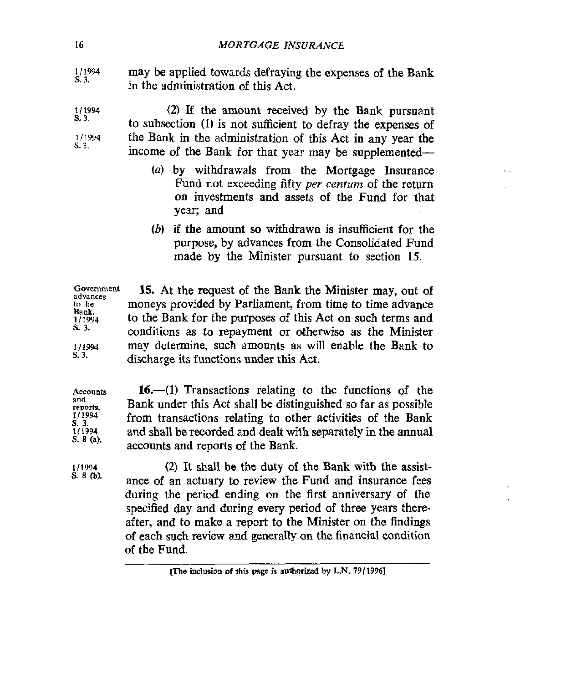*<sup>111994</sup>*may be applied towards defraying the expenses of the Bank in the administration of this Act. **s. 3.** 

*(2)* If the amount received by the Bank pursuant to subsection (1) **is** not sutlicient to defray the expenses of the Bank in the administration of this Act in any year the income of the Bank for that **year** may be supplemented- **1 I1994**  1/1994 *s.* **3.**  *s.* **3.** 

- *(a)* by withdrawals from the Mortgage Insurance Fund not exceeding fifty *per centurn* of the return on investments and assets of the Fund for that year; and
- *(b)* if the amount *so* withdrawn is insufficient for the purpose, by advances from the Consolidated Fund made by the Minister pursuant to section 15.

**advances to the Bank. ]/I994**  *s.* **3. Government 15. At** the request of the Bank the Minister may, out of moneys provided by Parliament, from time to time advance to the Bank for the purposes of this Act on such terms and conditions as to repayment or otherwise as the Minister may determine, such amounts as will enable the Bank to discharge its functions under this Act.

**Accounts reponits. 111994 s. 3. 111994 S. 8 (a).**  16.—(1) Transactions relating to the functions of the Bank under this Act shall be distinguished *so* far as possible from transactions relating to other activities of the Bank and shall be recorded and dealt with separately in the annual accounts and reports **of** the Bank.

> **(2)** It shall be the duty of the Bank with the assistance of an actuary to review the Fund and insurance fees during the period ending on the first anniversary of the specified day and during every period of three years thereafter, and to make a report to the Minister on the findings of each such review and generally on the financial condition **of** the Fund.

**1/1%**  *s.* **3.** 

**and** 

**111994 s. 8 (by** 

**iThe inclusion of this page is authorized by L.N. 79/1996]**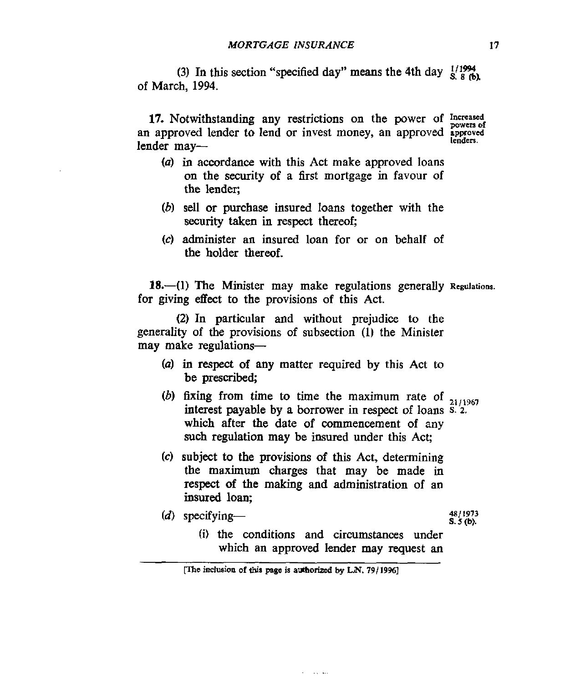(3) In this section "specified day" means the 4th day  $\frac{1}{8}$   $\frac{1}{8}$  (b) of March, **1994.** 

17. Notwithstanding any restrictions on the power of Increased an approved lender to lend or invest money, an approved **approved** lenders. lender may-

- *(a)* in accordance with this Act make approved loans on the security of a first mortgage in favour of the lender;
- *(b)* sell or purchase insured loans together with the **security** taken in respect thereof;
- *(c)* administer an insured loan for or **on** behalf of the holder thereof.

18. $-(1)$  The Minister may make regulations generally Regulations. for giving effect to the provisions of this Act.

*(2)* In particular and without prejudice to the generality of the provisions of subsection (I) the Minister may make regulations-

- *(a)* in respect of any matter required by this Act to be **prescribed;**
- *(b)* fixing from time to time the maximum rate of *2,,,967*  interest payable **by** a borrower in respect of loans **S.** *2.*  which after **the** date of commencement of any such regulation may be insured under this Act;
- **(c)** subject to the provisions of this Act, determining the maximum charges that may be made in respect of the making and administration of an **insured** loan;
- *<sup>4811973</sup>(d)* specifying- **S.** *5* **(b).**

*(i)* the conditions and circumstanoes under which an approved lender **may** request **an** 

**Carl Carl** 

**me induaion of** this **page is aulhorizcd by LN.** *791* **<sup>19961</sup>**